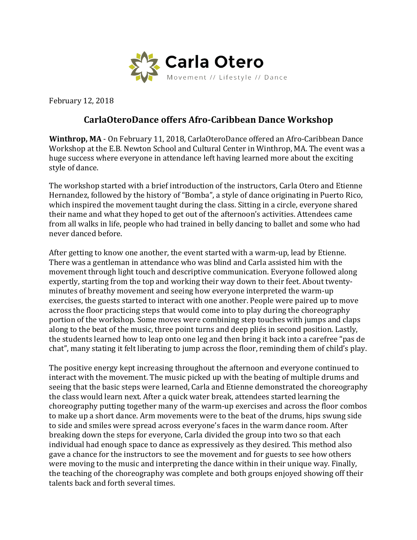

February 12, 2018

## **CarlaOteroDance offers Afro-Caribbean Dance Workshop**

**Winthrop, MA** - On February 11, 2018, CarlaOteroDance offered an Afro-Caribbean Dance Workshop at the E.B. Newton School and Cultural Center in Winthrop, MA. The event was a huge success where everyone in attendance left having learned more about the exciting style of dance.

The workshop started with a brief introduction of the instructors, Carla Otero and Etienne Hernandez, followed by the history of "Bomba", a style of dance originating in Puerto Rico, which inspired the movement taught during the class. Sitting in a circle, everyone shared their name and what they hoped to get out of the afternoon's activities. Attendees came from all walks in life, people who had trained in belly dancing to ballet and some who had never danced before.

After getting to know one another, the event started with a warm-up, lead by Etienne. There was a gentleman in attendance who was blind and Carla assisted him with the movement through light touch and descriptive communication. Everyone followed along expertly, starting from the top and working their way down to their feet. About twentyminutes of breathy movement and seeing how everyone interpreted the warm-up exercises, the guests started to interact with one another. People were paired up to move across the floor practicing steps that would come into to play during the choreography portion of the workshop. Some moves were combining step touches with jumps and claps along to the beat of the music, three point turns and deep pliés in second position. Lastly, the students learned how to leap onto one leg and then bring it back into a carefree "pas de chat", many stating it felt liberating to jump across the floor, reminding them of child's play.

The positive energy kept increasing throughout the afternoon and everyone continued to interact with the movement. The music picked up with the beating of multiple drums and seeing that the basic steps were learned, Carla and Etienne demonstrated the choreography the class would learn next. After a quick water break, attendees started learning the choreography putting together many of the warm-up exercises and across the floor combos to make up a short dance. Arm movements were to the beat of the drums, hips swung side to side and smiles were spread across everyone's faces in the warm dance room. After breaking down the steps for everyone, Carla divided the group into two so that each individual had enough space to dance as expressively as they desired. This method also gave a chance for the instructors to see the movement and for guests to see how others were moving to the music and interpreting the dance within in their unique way. Finally, the teaching of the choreography was complete and both groups enjoyed showing off their talents back and forth several times.